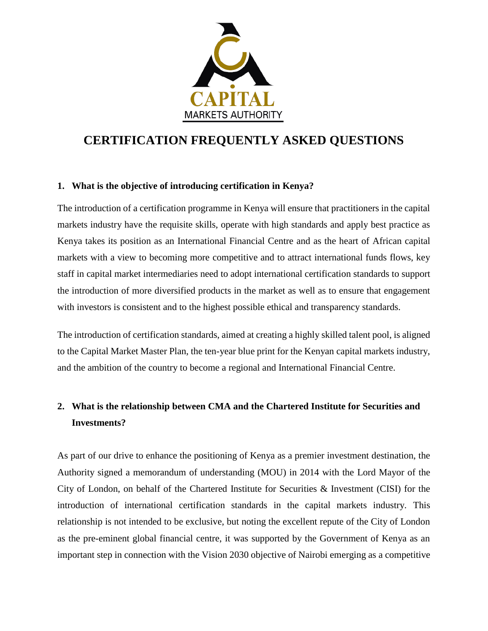

# **CERTIFICATION FREQUENTLY ASKED QUESTIONS**

## **1. What is the objective of introducing certification in Kenya?**

The introduction of a certification programme in Kenya will ensure that practitioners in the capital markets industry have the requisite skills, operate with high standards and apply best practice as Kenya takes its position as an International Financial Centre and as the heart of African capital markets with a view to becoming more competitive and to attract international funds flows, key staff in capital market intermediaries need to adopt international certification standards to support the introduction of more diversified products in the market as well as to ensure that engagement with investors is consistent and to the highest possible ethical and transparency standards.

The introduction of certification standards, aimed at creating a highly skilled talent pool, is aligned to the Capital Market Master Plan, the ten-year blue print for the Kenyan capital markets industry, and the ambition of the country to become a regional and International Financial Centre.

## **2. What is the relationship between CMA and the Chartered Institute for Securities and Investments?**

As part of our drive to enhance the positioning of Kenya as a premier investment destination, the Authority signed a memorandum of understanding (MOU) in 2014 with the Lord Mayor of the City of London, on behalf of the Chartered Institute for Securities & Investment (CISI) for the introduction of international certification standards in the capital markets industry. This relationship is not intended to be exclusive, but noting the excellent repute of the City of London as the pre-eminent global financial centre, it was supported by the Government of Kenya as an important step in connection with the Vision 2030 objective of Nairobi emerging as a competitive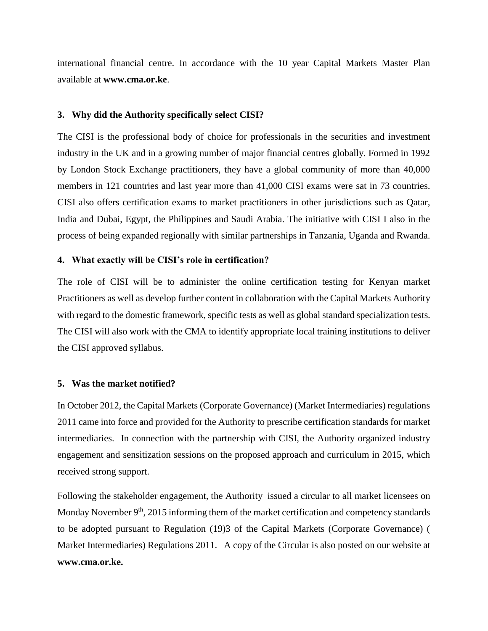international financial centre. In accordance with the 10 year Capital Markets Master Plan available at **www.cma.or.ke**.

#### **3. Why did the Authority specifically select CISI?**

The CISI is the professional body of choice for professionals in the securities and investment industry in the UK and in a growing number of major financial centres globally. Formed in 1992 by London Stock Exchange practitioners, they have a global community of more than 40,000 members in 121 countries and last year more than 41,000 CISI exams were sat in 73 countries. CISI also offers certification exams to market practitioners in other jurisdictions such as Qatar, India and Dubai, Egypt, the Philippines and Saudi Arabia. The initiative with CISI I also in the process of being expanded regionally with similar partnerships in Tanzania, Uganda and Rwanda.

#### **4. What exactly will be CISI's role in certification?**

The role of CISI will be to administer the online certification testing for Kenyan market Practitioners as well as develop further content in collaboration with the Capital Markets Authority with regard to the domestic framework, specific tests as well as global standard specialization tests. The CISI will also work with the CMA to identify appropriate local training institutions to deliver the CISI approved syllabus.

#### **5. Was the market notified?**

In October 2012, the Capital Markets (Corporate Governance) (Market Intermediaries) regulations 2011 came into force and provided for the Authority to prescribe certification standards for market intermediaries. In connection with the partnership with CISI, the Authority organized industry engagement and sensitization sessions on the proposed approach and curriculum in 2015, which received strong support.

Following the stakeholder engagement, the Authority issued a circular to all market licensees on Monday November  $9<sup>th</sup>$ , 2015 informing them of the market certification and competency standards to be adopted pursuant to Regulation (19)3 of the Capital Markets (Corporate Governance) ( Market Intermediaries) Regulations 2011. A copy of the Circular is also posted on our website at **www.cma.or.ke.**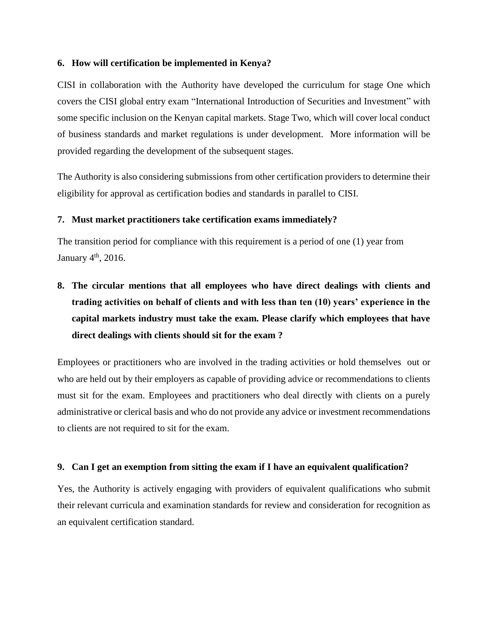#### **6. How will certification be implemented in Kenya?**

CISI in collaboration with the Authority have developed the curriculum for stage One which covers the CISI global entry exam "International Introduction of Securities and Investment" with some specific inclusion on the Kenyan capital markets. Stage Two, which will cover local conduct of business standards and market regulations is under development. More information will be provided regarding the development of the subsequent stages.

The Authority is also considering submissions from other certification providers to determine their eligibility for approval as certification bodies and standards in parallel to CISI.

#### **7. Must market practitioners take certification exams immediately?**

The transition period for compliance with this requirement is a period of one (1) year from January  $4<sup>th</sup>$ , 2016.

**8. The circular mentions that all employees who have direct dealings with clients and trading activities on behalf of clients and with less than ten (10) years' experience in the capital markets industry must take the exam. Please clarify which employees that have direct dealings with clients should sit for the exam ?**

Employees or practitioners who are involved in the trading activities or hold themselves out or who are held out by their employers as capable of providing advice or recommendations to clients must sit for the exam. Employees and practitioners who deal directly with clients on a purely administrative or clerical basis and who do not provide any advice or investment recommendations to clients are not required to sit for the exam.

#### **9. Can I get an exemption from sitting the exam if I have an equivalent qualification?**

Yes, the Authority is actively engaging with providers of equivalent qualifications who submit their relevant curricula and examination standards for review and consideration for recognition as an equivalent certification standard.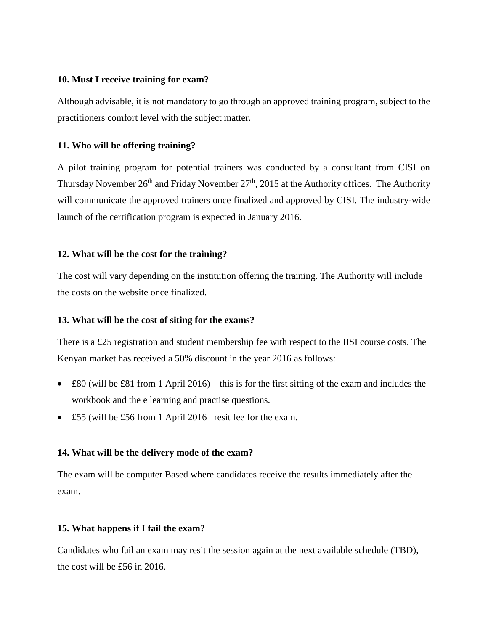#### **10. Must I receive training for exam?**

Although advisable, it is not mandatory to go through an approved training program, subject to the practitioners comfort level with the subject matter.

## **11. Who will be offering training?**

A pilot training program for potential trainers was conducted by a consultant from CISI on Thursday November  $26<sup>th</sup>$  and Friday November  $27<sup>th</sup>$ ,  $2015$  at the Authority offices. The Authority will communicate the approved trainers once finalized and approved by CISI. The industry-wide launch of the certification program is expected in January 2016.

#### **12. What will be the cost for the training?**

The cost will vary depending on the institution offering the training. The Authority will include the costs on the website once finalized.

#### **13. What will be the cost of siting for the exams?**

There is a £25 registration and student membership fee with respect to the IISI course costs. The Kenyan market has received a 50% discount in the year 2016 as follows:

- $\bullet$  £80 (will be £81 from 1 April 2016) this is for the first sitting of the exam and includes the workbook and the e learning and practise questions.
- £55 (will be £56 from 1 April 2016– resit fee for the exam.

#### **14. What will be the delivery mode of the exam?**

The exam will be computer Based where candidates receive the results immediately after the exam.

## **15. What happens if I fail the exam?**

Candidates who fail an exam may resit the session again at the next available schedule (TBD), the cost will be £56 in 2016.